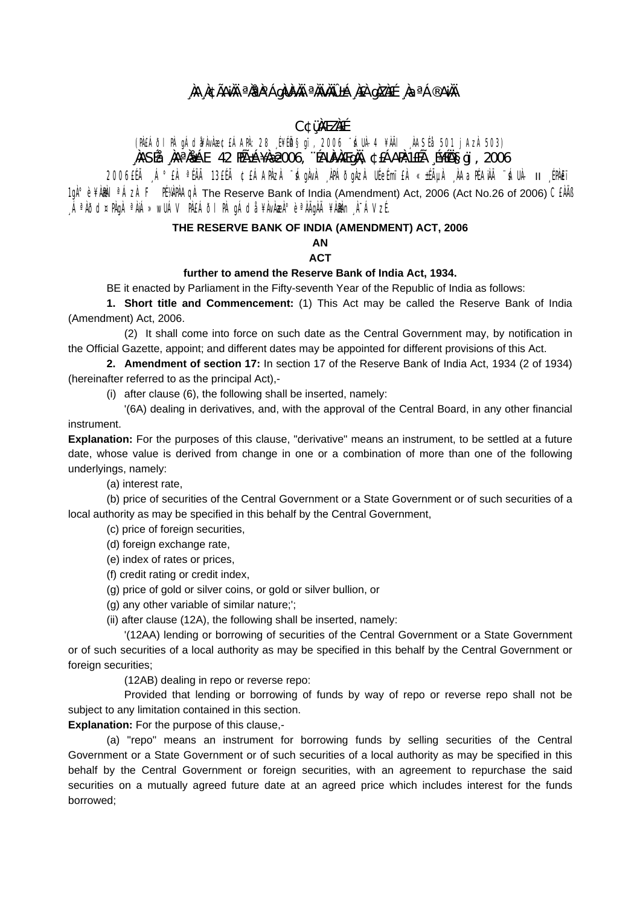# **¸ÀA¸À¢ÃAiÀÄ ªÀåªÀºÁgÀUÀ¼ÀÄ ªÀÄvÀÄÛ ±Á¸À£À gÀZÀ£É ¸ÀaªÁ®AiÀÄ**

# **C¢ü¸ÀÆZÀ£É**

(PÀ£ÁðlPÀ gÁdå¥ÀvÀæ ¢£ÁAPÀ: 28 ¸É¥ÉÖA§gï, 2006 ¨sÁUÀ-4 ¥ÀÄl ¸ÀASÉå: 501 jAzÀ 503) **¸ÀASÉå: ¸ÀAªÀå±ÁE 42 PÉñÁ¥Àæ 2006, ¨ÉAUÀ¼ÀÆgÀÄ, ¢£ÁAPÀ:1£Éà ¸É¥ÉÖA§gï, 2006** 

2006£Éà ¸Á°£À ªÉÄà 13£Éà ¢£ÁAPÀzÀ ¨sÁgÀvÀ ¸ÀPÁðgÀzÀ UÉeÉmï£À «±ÉõÀ ¸ÀAaPÉAiÀÄ ¨sÁUÀ- II ¸ÉPÀë£ï 1gˡè ¥ÀMÀl<sup>a</sup>ÁzÀ F PÉYÀPÀAQÀ The Reserve Bank of India (Amendment) Act, 2006 (Act No.26 of 2006) CEÀÄB ,ÁªÀðd¤PÀgÀ ªÀiÁ»wUÁV PÀ£ÁðI PÀ gÁdå ¥ÀvÀæÀ°è ªÀÄgÀÄ ¥Ààn¬À¯ÁVzÉ.

### **THE RESERVE BANK OF INDIA (AMENDMENT) ACT, 2006**

**AN ACT** 

#### **further to amend the Reserve Bank of India Act, 1934.**

BE it enacted by Parliament in the Fifty-seventh Year of the Republic of India as follows:

**1. Short title and Commencement:** (1) This Act may be called the Reserve Bank of India (Amendment) Act, 2006.

(2) It shall come into force on such date as the Central Government may, by notification in the Official Gazette, appoint; and different dates may be appointed for different provisions of this Act.

**2. Amendment of section 17:** In section 17 of the Reserve Bank of India Act, 1934 (2 of 1934) (hereinafter referred to as the principal Act),-

(i) after clause (6), the following shall be inserted, namely:

'(6A) dealing in derivatives, and, with the approval of the Central Board, in any other financial instrument.

**Explanation:** For the purposes of this clause, "derivative" means an instrument, to be settled at a future date, whose value is derived from change in one or a combination of more than one of the following underlyings, namely:

(a) interest rate,

(b) price of securities of the Central Government or a State Government or of such securities of a local authority as may be specified in this behalf by the Central Government,

(c) price of foreign securities,

(d) foreign exchange rate,

(e) index of rates or prices,

(f) credit rating or credit index,

(g) price of gold or silver coins, or gold or silver bullion, or

(g) any other variable of similar nature;';

(ii) after clause (12A), the following shall be inserted, namely:

'(12AA) lending or borrowing of securities of the Central Government or a State Government or of such securities of a local authority as may be specified in this behalf by the Central Government or foreign securities;

(12AB) dealing in repo or reverse repo:

Provided that lending or borrowing of funds by way of repo or reverse repo shall not be subject to any limitation contained in this section.

**Explanation:** For the purpose of this clause,-

(a) "repo" means an instrument for borrowing funds by selling securities of the Central Government or a State Government or of such securities of a local authority as may be specified in this behalf by the Central Government or foreign securities, with an agreement to repurchase the said securities on a mutually agreed future date at an agreed price which includes interest for the funds borrowed;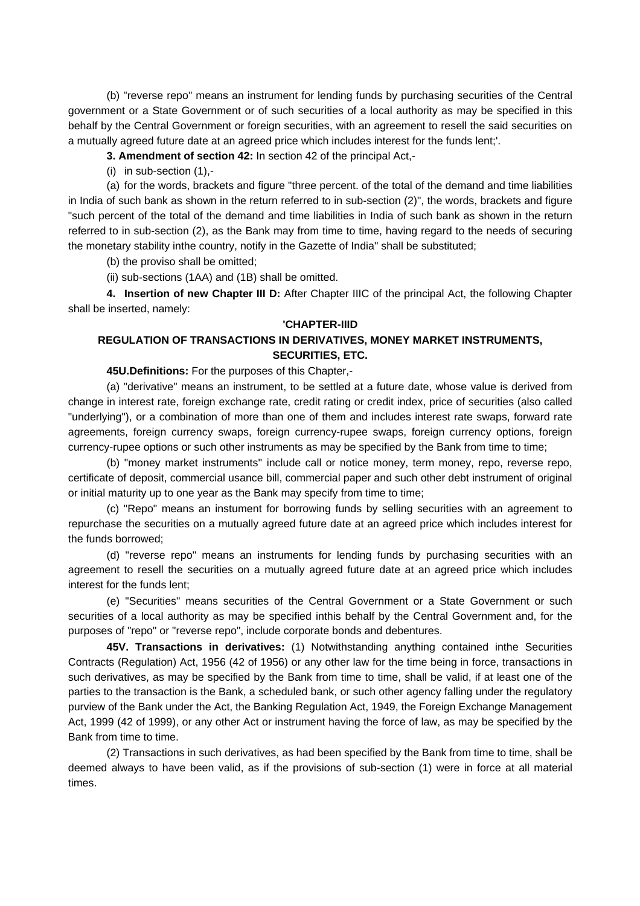(b) "reverse repo" means an instrument for lending funds by purchasing securities of the Central government or a State Government or of such securities of a local authority as may be specified in this behalf by the Central Government or foreign securities, with an agreement to resell the said securities on a mutually agreed future date at an agreed price which includes interest for the funds lent;'.

**3. Amendment of section 42:** In section 42 of the principal Act,-

(i) in sub-section (1),-

 (a) for the words, brackets and figure "three percent. of the total of the demand and time liabilities in India of such bank as shown in the return referred to in sub-section (2)", the words, brackets and figure "such percent of the total of the demand and time liabilities in India of such bank as shown in the return referred to in sub-section (2), as the Bank may from time to time, having regard to the needs of securing the monetary stability inthe country, notify in the Gazette of India" shall be substituted;

(b) the proviso shall be omitted;

(ii) sub-sections (1AA) and (1B) shall be omitted.

**4. Insertion of new Chapter III D:** After Chapter IIIC of the principal Act, the following Chapter shall be inserted, namely:

#### **'CHAPTER-IIID**

## **REGULATION OF TRANSACTIONS IN DERIVATIVES, MONEY MARKET INSTRUMENTS, SECURITIES, ETC.**

 **45U.Definitions:** For the purposes of this Chapter,-

 (a) "derivative" means an instrument, to be settled at a future date, whose value is derived from change in interest rate, foreign exchange rate, credit rating or credit index, price of securities (also called "underlying"), or a combination of more than one of them and includes interest rate swaps, forward rate agreements, foreign currency swaps, foreign currency-rupee swaps, foreign currency options, foreign currency-rupee options or such other instruments as may be specified by the Bank from time to time;

 (b) "money market instruments'' include call or notice money, term money, repo, reverse repo, certificate of deposit, commercial usance bill, commercial paper and such other debt instrument of original or initial maturity up to one year as the Bank may specify from time to time;

 (c) "Repo" means an instument for borrowing funds by selling securities with an agreement to repurchase the securities on a mutually agreed future date at an agreed price which includes interest for the funds borrowed;

 (d) "reverse repo" means an instruments for lending funds by purchasing securities with an agreement to resell the securities on a mutually agreed future date at an agreed price which includes interest for the funds lent;

 (e) "Securities" means securities of the Central Government or a State Government or such securities of a local authority as may be specified inthis behalf by the Central Government and, for the purposes of "repo" or "reverse repo", include corporate bonds and debentures.

**45V. Transactions in derivatives:** (1) Notwithstanding anything contained inthe Securities Contracts (Regulation) Act, 1956 (42 of 1956) or any other law for the time being in force, transactions in such derivatives, as may be specified by the Bank from time to time, shall be valid, if at least one of the parties to the transaction is the Bank, a scheduled bank, or such other agency falling under the regulatory purview of the Bank under the Act, the Banking Regulation Act, 1949, the Foreign Exchange Management Act, 1999 (42 of 1999), or any other Act or instrument having the force of law, as may be specified by the Bank from time to time.

 (2) Transactions in such derivatives, as had been specified by the Bank from time to time, shall be deemed always to have been valid, as if the provisions of sub-section (1) were in force at all material times.